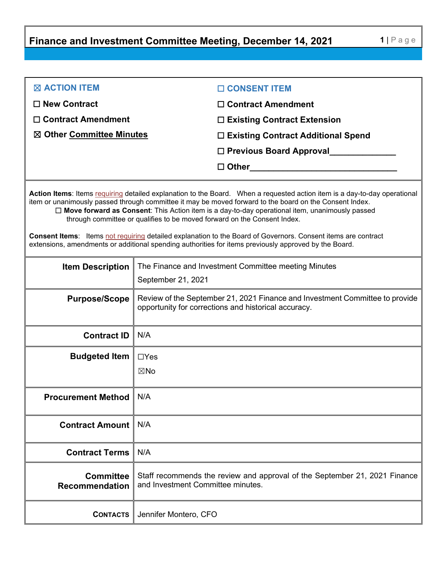**Finance and Investment Committee Meeting, December 14, 2021 1** | Page

| $\boxtimes$ ACTION ITEM             | □ CONSENT ITEM                                                                                                                          |
|-------------------------------------|-----------------------------------------------------------------------------------------------------------------------------------------|
| $\Box$ New Contract                 | $\Box$ Contract Amendment                                                                                                               |
| $\Box$ Contract Amendment           | $\square$ Existing Contract Extension                                                                                                   |
| $\boxtimes$ Other Committee Minutes | □ Existing Contract Additional Spend                                                                                                    |
|                                     | $\Box$ Previous Board Approval                                                                                                          |
|                                     | $\square$ Other<br><u> 1980 - Jan Stein Stein Stein Stein Stein Stein Stein Stein Stein Stein Stein Stein Stein Stein Stein Stein S</u> |
|                                     |                                                                                                                                         |

**Action Items**: Items requiring detailed explanation to the Board. When a requested action item is a day-to-day operational item or unanimously passed through committee it may be moved forward to the board on the Consent Index. ☐ **Move forward as Consent**: This Action item is a day-to-day operational item, unanimously passed through committee or qualifies to be moved forward on the Consent Index.

**Consent Items**: Items not requiring detailed explanation to the Board of Governors. Consent items are contract extensions, amendments or additional spending authorities for items previously approved by the Board.

| <b>Item Description</b>                   | The Finance and Investment Committee meeting Minutes<br>September 21, 2021                                                           |
|-------------------------------------------|--------------------------------------------------------------------------------------------------------------------------------------|
| <b>Purpose/Scope</b>                      | Review of the September 21, 2021 Finance and Investment Committee to provide<br>opportunity for corrections and historical accuracy. |
| <b>Contract ID</b>                        | N/A                                                                                                                                  |
| <b>Budgeted Item</b>                      | $\Box$ Yes<br>$\boxtimes$ No                                                                                                         |
| <b>Procurement Method</b>                 | N/A                                                                                                                                  |
| <b>Contract Amount</b>                    | N/A                                                                                                                                  |
| <b>Contract Terms</b>                     | N/A                                                                                                                                  |
| <b>Committee</b><br><b>Recommendation</b> | Staff recommends the review and approval of the September 21, 2021 Finance<br>and Investment Committee minutes.                      |
| <b>CONTACTS</b>                           | Jennifer Montero, CFO                                                                                                                |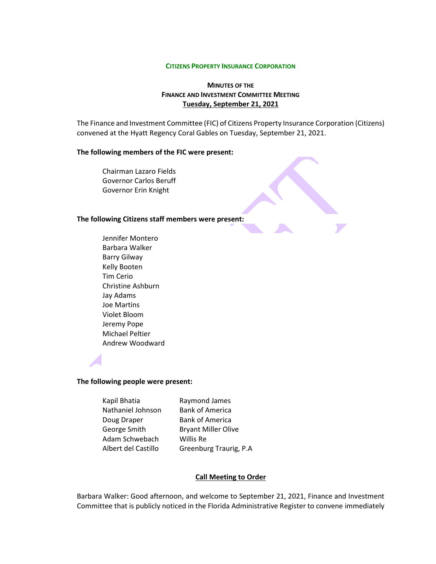#### **CITIZENS PROPERTY INSURANCE CORPORATION**

# **MINUTES OF THE FINANCE AND INVESTMENT COMMITTEE MEETING Tuesday, September 21, 2021**

The Finance and Investment Committee (FIC) of Citizens Property Insurance Corporation (Citizens) convened at the Hyatt Regency Coral Gables on Tuesday, September 21, 2021.

#### **The following members of the FIC were present:**

Chairman Lazaro Fields Governor Carlos Beruff Governor Erin Knight

### **The following Citizens staff members were present:**

Jennifer Montero Barbara Walker Barry Gilway Kelly Booten Tim Cerio Christine Ashburn Jay Adams Joe Martins Violet Bloom Jeremy Pope Michael Peltier Andrew Woodward

### **The following people were present:**

Kapil Bhatia Raymond James Nathaniel Johnson Bank of America Doug Draper Bank of America George Smith Bryant Miller Olive Adam Schwebach Willis Re

Albert del Castillo Greenburg Traurig, P.A

#### **Call Meeting to Order**

Barbara Walker: Good afternoon, and welcome to September 21, 2021, Finance and Investment Committee that is publicly noticed in the Florida Administrative Register to convene immediately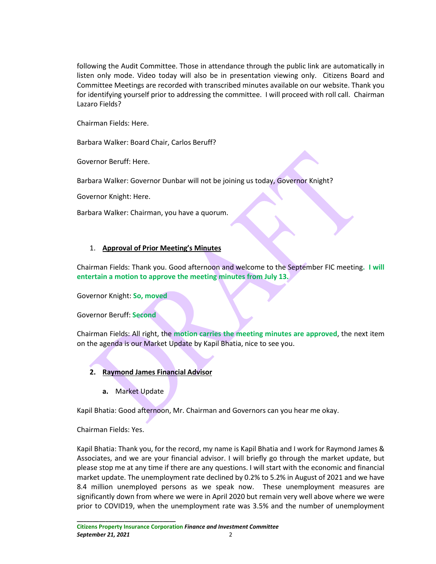following the Audit Committee. Those in attendance through the public link are automatically in listen only mode. Video today will also be in presentation viewing only. Citizens Board and Committee Meetings are recorded with transcribed minutes available on our website. Thank you for identifying yourself prior to addressing the committee. I will proceed with roll call. Chairman Lazaro Fields?

Chairman Fields: Here.

Barbara Walker: Board Chair, Carlos Beruff?

Governor Beruff: Here.

Barbara Walker: Governor Dunbar will not be joining us today, Governor Knight?

Governor Knight: Here.

Barbara Walker: Chairman, you have a quorum.

### 1. **Approval of Prior Meeting's Minutes**

Chairman Fields: Thank you. Good afternoon and welcome to the September FIC meeting**. I will entertain a motion to approve the meeting minutes from July 13.**

Governor Knight: **So, moved**

Governor Beruff: **Second**

Chairman Fields: All right, the **motion carries the meeting minutes are approved**, the next item on the agenda is our Market Update by Kapil Bhatia, nice to see you.

# **2. Raymond James Financial Advisor**

**a.** Market Update

Kapil Bhatia: Good afternoon, Mr. Chairman and Governors can you hear me okay.

Chairman Fields: Yes.

**\_\_\_\_\_\_\_\_\_\_\_\_\_\_\_\_\_\_\_\_\_\_\_\_\_\_\_\_\_\_\_**

Kapil Bhatia: Thank you, for the record, my name is Kapil Bhatia and I work for Raymond James & Associates, and we are your financial advisor. I will briefly go through the market update, but please stop me at any time if there are any questions. I will start with the economic and financial market update. The unemployment rate declined by 0.2% to 5.2% in August of 2021 and we have 8.4 million unemployed persons as we speak now. These unemployment measures are significantly down from where we were in April 2020 but remain very well above where we were prior to COVID19, when the unemployment rate was 3.5% and the number of unemployment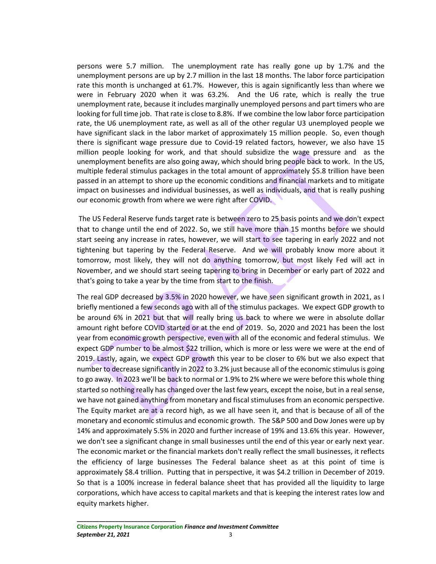persons were 5.7 million. The unemployment rate has really gone up by 1.7% and the unemployment persons are up by 2.7 million in the last 18 months. The labor force participation rate this month is unchanged at 61.7%. However, this is again significantly less than where we were in February 2020 when it was 63.2%. And the U6 rate, which is really the true unemployment rate, because it includes marginally unemployed persons and part timers who are looking for full time job. That rate is close to 8.8%. If we combine the low labor force participation rate, the U6 unemployment rate, as well as all of the other regular U3 unemployed people we have significant slack in the labor market of approximately 15 million people. So, even though there is significant wage pressure due to Covid-19 related factors, however, we also have 15 million people looking for work, and that should subsidize the wage pressure and as the unemployment benefits are also going away, which should bring people back to work. In the US, multiple federal stimulus packages in the total amount of approximately \$5.8 trillion have been passed in an attempt to shore up the economic conditions and financial markets and to mitigate impact on businesses and individual businesses, as well as individuals, and that is really pushing our economic growth from where we were right after COVID.

The US Federal Reserve funds target rate is between zero to 25 basis points and we don't expect that to change until the end of 2022. So, we still have more than 15 months before we should start seeing any increase in rates, however, we will start to see tapering in early 2022 and not tightening but tapering by the Federal Reserve. And we will probably know more about it tomorrow, most likely, they will not do anything tomorrow, but most likely Fed will act in November, and we should start seeing tapering to bring in December or early part of 2022 and that's going to take a year by the time from start to the finish.

The real GDP decreased by 3.5% in 2020 however, we have seen significant growth in 2021, as I briefly mentioned a few seconds ago with all of the stimulus packages. We expect GDP growth to be around 6% in 2021 but that will really bring us back to where we were in absolute dollar amount right before COVID started or at the end of 2019. So, 2020 and 2021 has been the lost year from economic growth perspective, even with all of the economic and federal stimulus. We expect GDP number to be almost \$22 trillion, which is more or less were we were at the end of 2019. Lastly, again, we expect GDP growth this year to be closer to 6% but we also expect that number to decrease significantly in 2022 to 3.2% just because all of the economic stimulus is going to go away. In 2023 we'll be back to normal or 1.9% to 2% where we were before this whole thing started so nothing really has changed over the last few years, except the noise, but in a real sense, we have not gained anything from monetary and fiscal stimuluses from an economic perspective. The Equity market are at a record high, as we all have seen it, and that is because of all of the monetary and economic stimulus and economic growth. The S&P 500 and Dow Jones were up by 14% and approximately 5.5% in 2020 and further increase of 19% and 13.6% this year. However, we don't see a significant change in small businesses until the end of this year or early next year. The economic market or the financial markets don't really reflect the small businesses, it reflects the efficiency of large businesses The Federal balance sheet as at this point of time is approximately \$8.4 trillion. Putting that in perspective, it was \$4.2 trillion in December of 2019. So that is a 100% increase in federal balance sheet that has provided all the liquidity to large corporations, which have access to capital markets and that is keeping the interest rates low and equity markets higher.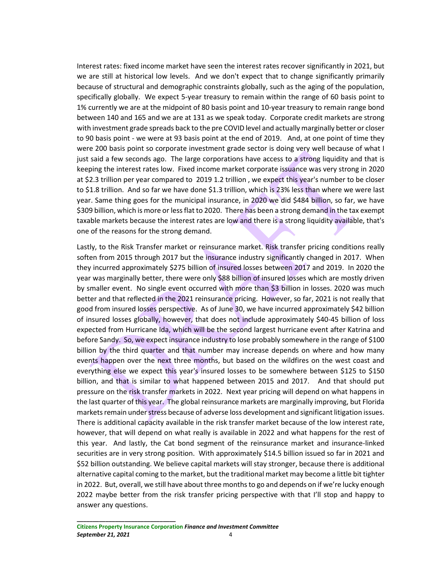Interest rates: fixed income market have seen the interest rates recover significantly in 2021, but we are still at historical low levels. And we don't expect that to change significantly primarily because of structural and demographic constraints globally, such as the aging of the population, specifically globally. We expect 5-year treasury to remain within the range of 60 basis point to 1% currently we are at the midpoint of 80 basis point and 10-year treasury to remain range bond between 140 and 165 and we are at 131 as we speak today. Corporate credit markets are strong with investment grade spreads back to the pre COVID level and actually marginally better or closer to 90 basis point - we were at 93 basis point at the end of 2019. And, at one point of time they were 200 basis point so corporate investment grade sector is doing very well because of what I just said a few seconds ago. The large corporations have access to a strong liquidity and that is keeping the interest rates low. Fixed income market corporate issuance was very strong in 2020 at \$2.3 trillion per year compared to 2019 1.2 trillion , we expect this year's number to be closer to \$1.8 trillion. And so far we have done \$1.3 trillion, which is 23% less than where we were last year. Same thing goes for the municipal insurance, in 2020 we did \$484 billion, so far, we have \$309 billion, which is more or less flat to 2020. There has been a strong demand in the tax exempt taxable markets because the interest rates are low and there is a strong liquidity available, that's one of the reasons for the strong demand.

Lastly, to the Risk Transfer market or reinsurance market. Risk transfer pricing conditions really soften from 2015 through 2017 but the insurance industry significantly changed in 2017. When they incurred approximately \$275 billion of insured losses between 2017 and 2019. In 2020 the year was marginally better, there were only \$88 billion of insured losses which are mostly driven by smaller event. No single event occurred with more than \$3 billion in losses. 2020 was much better and that reflected in the 2021 reinsurance pricing. However, so far, 2021 is not really that good from insured losses perspective. As of June 30, we have incurred approximately \$42 billion of insured losses globally, however, that does not include approximately \$40-45 billion of loss expected from Hurricane Ida, which will be the second largest hurricane event after Katrina and before Sandy. So, we expect insurance industry to lose probably somewhere in the range of \$100 billion by the third quarter and that number may increase depends on where and how many events happen over the next three months, but based on the wildfires on the west coast and everything else we expect this year's insured losses to be somewhere between \$125 to \$150 billion, and that is similar to what happened between 2015 and 2017. And that should put pressure on the risk transfer markets in 2022. Next year pricing will depend on what happens in the last quarter of this year. The global reinsurance markets are marginally improving, but Florida markets remain under stress because of adverse loss development and significant litigation issues. There is additional capacity available in the risk transfer market because of the low interest rate, however, that will depend on what really is available in 2022 and what happens for the rest of this year. And lastly, the Cat bond segment of the reinsurance market and insurance-linked securities are in very strong position. With approximately \$14.5 billion issued so far in 2021 and \$52 billion outstanding. We believe capital markets will stay stronger, because there is additional alternative capital coming to the market, but the traditional market may become a little bit tighter in 2022. But, overall, we still have about three months to go and depends on if we're lucky enough 2022 maybe better from the risk transfer pricing perspective with that I'll stop and happy to answer any questions.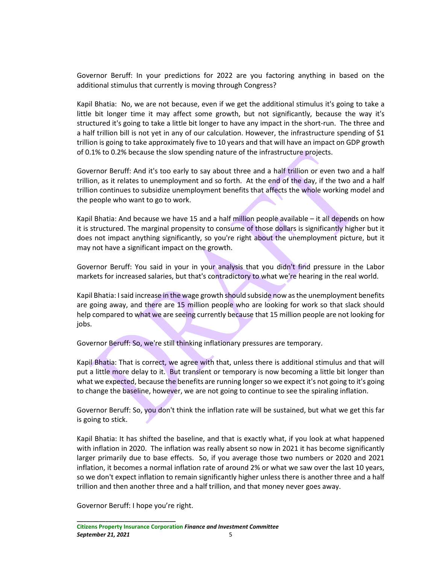Governor Beruff: In your predictions for 2022 are you factoring anything in based on the additional stimulus that currently is moving through Congress?

Kapil Bhatia: No, we are not because, even if we get the additional stimulus it's going to take a little bit longer time it may affect some growth, but not significantly, because the way it's structured it's going to take a little bit longer to have any impact in the short-run. The three and a half trillion bill is not yet in any of our calculation. However, the infrastructure spending of \$1 trillion is going to take approximately five to 10 years and that will have an impact on GDP growth of 0.1% to 0.2% because the slow spending nature of the infrastructure projects.

Governor Beruff: And it's too early to say about three and a half trillion or even two and a half trillion, as it relates to unemployment and so forth. At the end of the day, if the two and a half trillion continues to subsidize unemployment benefits that affects the whole working model and the people who want to go to work.

Kapil Bhatia: And because we have 15 and a half million people available – it all depends on how it is structured. The marginal propensity to consume of those dollars is significantly higher but it does not impact anything significantly, so you're right about the unemployment picture, but it may not have a significant impact on the growth.

Governor Beruff: You said in your in your analysis that you didn't find pressure in the Labor markets for increased salaries, but that's contradictory to what we're hearing in the real world.

Kapil Bhatia: I said increase in the wage growth should subside now as the unemployment benefits are going away, and there are 15 million people who are looking for work so that slack should help compared to what we are seeing currently because that 15 million people are not looking for jobs.

Governor Beruff: So, we're still thinking inflationary pressures are temporary.

Kapil Bhatia: That is correct, we agree with that, unless there is additional stimulus and that will put a little more delay to it. But transient or temporary is now becoming a little bit longer than what we expected, because the benefits are running longer so we expect it's not going to it's going to change the baseline, however, we are not going to continue to see the spiraling inflation.

Governor Beruff: So, you don't think the inflation rate will be sustained, but what we get this far is going to stick.

Kapil Bhatia: It has shifted the baseline, and that is exactly what, if you look at what happened with inflation in 2020. The inflation was really absent so now in 2021 it has become significantly larger primarily due to base effects. So, if you average those two numbers or 2020 and 2021 inflation, it becomes a normal inflation rate of around 2% or what we saw over the last 10 years, so we don't expect inflation to remain significantly higher unless there is another three and a half trillion and then another three and a half trillion, and that money never goes away.

Governor Beruff: I hope you're right.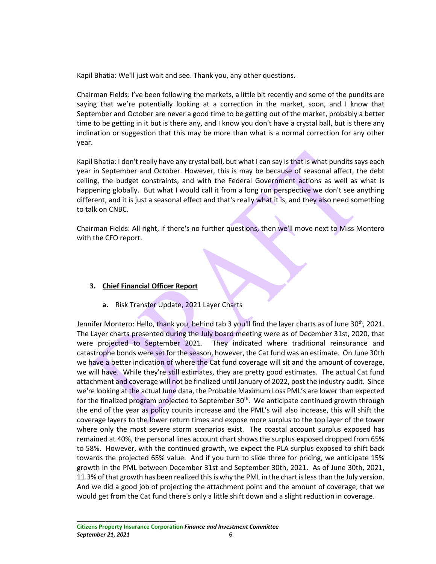Kapil Bhatia: We'll just wait and see. Thank you, any other questions.

Chairman Fields: I've been following the markets, a little bit recently and some of the pundits are saying that we're potentially looking at a correction in the market, soon, and I know that September and October are never a good time to be getting out of the market, probably a better time to be getting in it but is there any, and I know you don't have a crystal ball, but is there any inclination or suggestion that this may be more than what is a normal correction for any other year.

Kapil Bhatia: I don't really have any crystal ball, but what I can say is that is what pundits says each year in September and October. However, this is may be because of seasonal affect, the debt ceiling, the budget constraints, and with the Federal Government actions as well as what is happening globally. But what I would call it from a long run perspective we don't see anything different, and it is just a seasonal effect and that's really what it is, and they also need something to talk on CNBC.

Chairman Fields: All right, if there's no further questions, then we'll move next to Miss Montero with the CFO report.

# **3. Chief Financial Officer Report**

**a.** Risk Transfer Update, 2021 Layer Charts

Jennifer Montero: Hello, thank you, behind tab 3 you'll find the layer charts as of June 30th, 2021. The Layer charts presented during the July board meeting were as of December 31st, 2020, that were projected to September 2021. They indicated where traditional reinsurance and catastrophe bonds were set for the season, however, the Cat fund was an estimate. On June 30th we have a better indication of where the Cat fund coverage will sit and the amount of coverage, we will have. While they're still estimates, they are pretty good estimates. The actual Cat fund attachment and coverage will not be finalized until January of 2022, post the industry audit. Since we're looking at the actual June data, the Probable Maximum Loss PML's are lower than expected for the finalized program projected to September  $30<sup>th</sup>$ . We anticipate continued growth through the end of the year as policy counts increase and the PML's will also increase, this will shift the coverage layers to the lower return times and expose more surplus to the top layer of the tower where only the most severe storm scenarios exist. The coastal account surplus exposed has remained at 40%, the personal lines account chart shows the surplus exposed dropped from 65% to 58%. However, with the continued growth, we expect the PLA surplus exposed to shift back towards the projected 65% value. And if you turn to slide three for pricing, we anticipate 15% growth in the PML between December 31st and September 30th, 2021. As of June 30th, 2021, 11.3% of that growth has been realized this is why the PML in the chart is less than the July version. And we did a good job of projecting the attachment point and the amount of coverage, that we would get from the Cat fund there's only a little shift down and a slight reduction in coverage.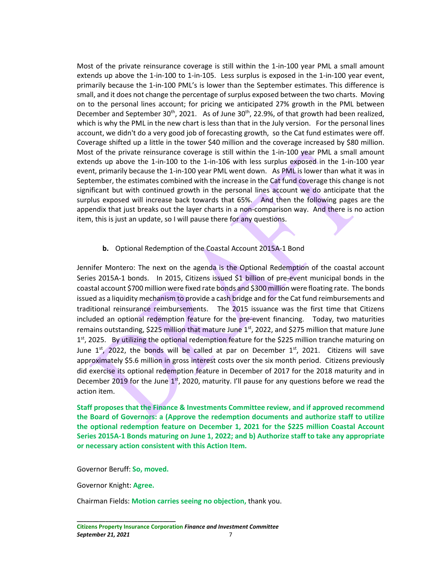Most of the private reinsurance coverage is still within the 1-in-100 year PML a small amount extends up above the 1-in-100 to 1-in-105. Less surplus is exposed in the 1-in-100 year event, primarily because the 1-in-100 PML's is lower than the September estimates. This difference is small, and it does not change the percentage of surplus exposed between the two charts. Moving on to the personal lines account; for pricing we anticipated 27% growth in the PML between December and September 30<sup>th</sup>, 2021. As of June 30<sup>th</sup>, 22.9%, of that growth had been realized, which is why the PML in the new chart is less than that in the July version. For the personal lines account, we didn't do a very good job of forecasting growth, so the Cat fund estimates were off. Coverage shifted up a little in the tower \$40 million and the coverage increased by \$80 million. Most of the private reinsurance coverage is still within the 1-in-100 year PML a small amount extends up above the 1-in-100 to the 1-in-106 with less surplus exposed in the 1-in-100 year event, primarily because the 1-in-100 year PML went down. As PML is lower than what it was in September, the estimates combined with the increase in the Cat fund coverage this change is not significant but with continued growth in the personal lines account we do anticipate that the surplus exposed will increase back towards that 65%. And then the following pages are the appendix that just breaks out the layer charts in a non-comparison way. And there is no action item, this is just an update, so I will pause there for any questions.

# **b.** Optional Redemption of the Coastal Account 2015A-1 Bond

Jennifer Montero: The next on the agenda is the Optional Redemption of the coastal account Series 2015A-1 bonds. In 2015, Citizens issued \$1 billion of pre-event municipal bonds in the coastal account \$700 million were fixed rate bonds and \$300 million were floating rate. The bonds issued as a liquidity mechanism to provide a cash bridge and for the Cat fund reimbursements and traditional reinsurance reimbursements. The 2015 issuance was the first time that Citizens included an optional redemption feature for the pre-event financing. Today, two maturities remains outstanding, \$225 million that mature June  $1<sup>st</sup>$ , 2022, and \$275 million that mature June  $1<sup>st</sup>$ , 2025. By utilizing the optional redemption feature for the \$225 million tranche maturing on June  $1<sup>st</sup>$ , 2022, the bonds will be called at par on December  $1<sup>st</sup>$ , 2021. Citizens will save approximately \$5.6 million in gross interest costs over the six month period. Citizens previously did exercise its optional redemption feature in December of 2017 for the 2018 maturity and in December 2019 for the June  $1<sup>st</sup>$ , 2020, maturity. I'll pause for any questions before we read the action item.

**Staff proposes that the Finance & Investments Committee review, and if approved recommend the Board of Governors: a (Approve the redemption documents and authorize staff to utilize the optional redemption feature on December 1, 2021 for the \$225 million Coastal Account Series 2015A-1 Bonds maturing on June 1, 2022; and b) Authorize staff to take any appropriate or necessary action consistent with this Action Item.**

Governor Beruff: **So, moved.**

**\_\_\_\_\_\_\_\_\_\_\_\_\_\_\_\_\_\_\_\_\_\_\_\_\_\_\_\_\_\_\_**

Governor Knight: **Agree.**

Chairman Fields: **Motion carries seeing no objection,** thank you.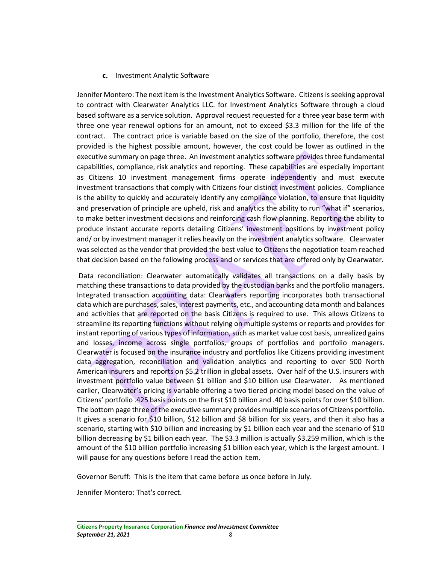# **c.** Investment Analytic Software

Jennifer Montero: The next item is the Investment Analytics Software. Citizens is seeking approval to contract with Clearwater Analytics LLC. for Investment Analytics Software through a cloud based software as a service solution. Approval request requested for a three year base term with three one year renewal options for an amount, not to exceed \$3.3 million for the life of the contract. The contract price is variable based on the size of the portfolio, therefore, the cost provided is the highest possible amount, however, the cost could be lower as outlined in the executive summary on page three. An investment analytics software provides three fundamental capabilities, compliance, risk analytics and reporting. These capabilities are especially important as Citizens 10 investment management firms operate independently and must execute investment transactions that comply with Citizens four distinct investment policies. Compliance is the ability to quickly and accurately identify any compliance violation, to ensure that liquidity and preservation of principle are upheld, risk and analytics the ability to run "what if" scenarios, to make better investment decisions and reinforcing cash flow planning. Reporting the ability to produce instant accurate reports detailing Citizens' investment positions by investment policy and/ or by investment manager it relies heavily on the investment analytics software. Clearwater was selected as the vendor that provided the best value to Citizens the negotiation team reached that decision based on the following process and or services that are offered only by Clearwater.

Data reconciliation: Clearwater automatically validates all transactions on a daily basis by matching these transactions to data provided by the custodian banks and the portfolio managers. Integrated transaction accounting data: Clearwaters reporting incorporates both transactional data which are purchases, sales, interest payments, etc., and accounting data month and balances and activities that are reported on the basis Citizens is required to use. This allows Citizens to streamline its reporting functions without relying on multiple systems or reports and provides for instant reporting of various types of information, such as market value cost basis, unrealized gains and losses, income across single portfolios, groups of portfolios and portfolio managers. Clearwater is focused on the insurance industry and portfolios like Citizens providing investment data aggregation, reconciliation and validation analytics and reporting to over 500 North American insurers and reports on \$5.2 trillion in global assets. Over half of the U.S. insurers with investment portfolio value between \$1 billion and \$10 billion use Clearwater. As mentioned earlier, Clearwater's pricing is variable offering a two tiered pricing model based on the value of Citizens' portfolio .425 basis points on the first \$10 billion and .40 basis points for over \$10 billion. The bottom page three of the executive summary provides multiple scenarios of Citizens portfolio. It gives a scenario for \$10 billion, \$12 billion and \$8 billion for six years, and then it also has a scenario, starting with \$10 billion and increasing by \$1 billion each year and the scenario of \$10 billion decreasing by \$1 billion each year. The \$3.3 million is actually \$3.259 million, which is the amount of the \$10 billion portfolio increasing \$1 billion each year, which is the largest amount. I will pause for any questions before I read the action item.

Governor Beruff: This is the item that came before us once before in July.

Jennifer Montero: That's correct.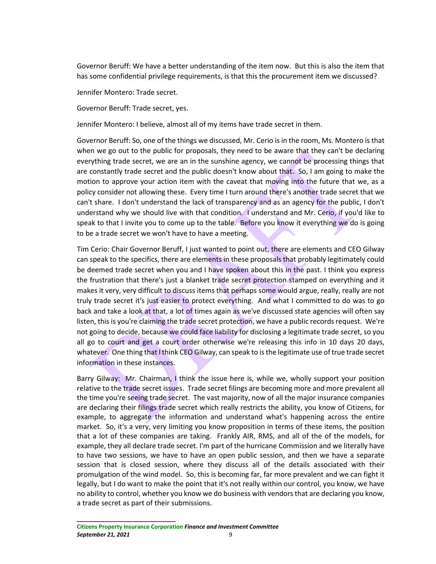Governor Beruff: We have a better understanding of the item now. But this is also the item that has some confidential privilege requirements, is that this the procurement item we discussed?

Jennifer Montero: Trade secret.

Governor Beruff: Trade secret, yes.

Jennifer Montero: I believe, almost all of my items have trade secret in them.

Governor Beruff: So, one of the things we discussed, Mr. Cerio is in the room, Ms. Montero is that when we go out to the public for proposals, they need to be aware that they can't be declaring everything trade secret, we are an in the sunshine agency, we cannot be processing things that are constantly trade secret and the public doesn't know about that. So, I am going to make the motion to approve your action item with the caveat that moving into the future that we, as a policy consider not allowing these. Every time I turn around there's another trade secret that we can't share. I don't understand the lack of transparency and as an agency for the public, I don't understand why we should live with that condition. I understand and Mr. Cerio, if you'd like to speak to that I invite you to come up to the table. Before you know it everything we do is going to be a trade secret we won't have to have a meeting.

Tim Cerio: Chair Governor Beruff, I just wanted to point out, there are elements and CEO Gilway can speak to the specifics, there are elements in these proposals that probably legitimately could be deemed trade secret when you and I have spoken about this in the past. I think you express the frustration that there's just a blanket trade secret protection stamped on everything and it makes it very, very difficult to discuss items that perhaps some would argue, really, really are not truly trade secret it's just easier to protect everything. And what I committed to do was to go back and take a look at that, a lot of times again as we've discussed state agencies will often say listen, this is you're claiming the trade secret protection, we have a public records request. We're not going to decide, because we could face liability for disclosing a legitimate trade secret, so you all go to court and get a court order otherwise we're releasing this info in 10 days 20 days, whatever. One thing that I think CEO Gilway, can speak to is the legitimate use of true trade secret information in these instances.

Barry Gilway: Mr. Chairman, I think the issue here is, while we, wholly support your position relative to the trade secret issues. Trade secret filings are becoming more and more prevalent all the time you're seeing trade secret. The vast majority, now of all the major insurance companies are declaring their filings trade secret which really restricts the ability, you know of Citizens, for example, to aggregate the information and understand what's happening across the entire market. So, it's a very, very limiting you know proposition in terms of these items, the position that a lot of these companies are taking. Frankly AIR, RMS, and all of the of the models, for example, they all declare trade secret. I'm part of the hurricane Commission and we literally have to have two sessions, we have to have an open public session, and then we have a separate session that is closed session, where they discuss all of the details associated with their promulgation of the wind model. So, this is becoming far, far more prevalent and we can fight it legally, but I do want to make the point that it's not really within our control, you know, we have no ability to control, whether you know we do business with vendors that are declaring you know, a trade secret as part of their submissions.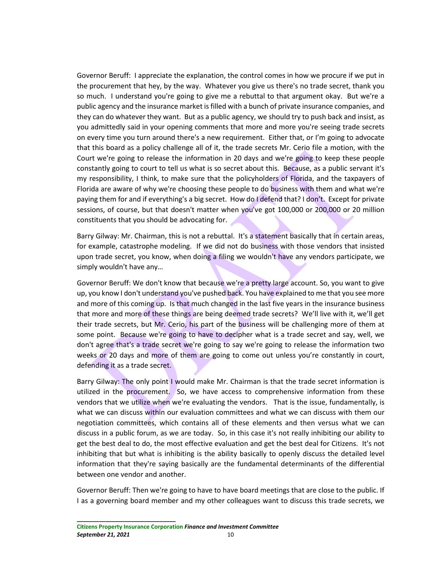Governor Beruff: I appreciate the explanation, the control comes in how we procure if we put in the procurement that hey, by the way. Whatever you give us there's no trade secret, thank you so much. I understand you're going to give me a rebuttal to that argument okay. But we're a public agency and the insurance market is filled with a bunch of private insurance companies, and they can do whatever they want. But as a public agency, we should try to push back and insist, as you admittedly said in your opening comments that more and more you're seeing trade secrets on every time you turn around there's a new requirement. Either that, or I'm going to advocate that this board as a policy challenge all of it, the trade secrets Mr. Cerio file a motion, with the Court we're going to release the information in 20 days and we're going to keep these people constantly going to court to tell us what is so secret about this. Because, as a public servant it's my responsibility, I think, to make sure that the policyholders of Florida, and the taxpayers of Florida are aware of why we're choosing these people to do business with them and what we're paying them for and if everything's a big secret. How do I defend that? I don't. Except for private sessions, of course, but that doesn't matter when you've got 100,000 or 200,000 or 20 million constituents that you should be advocating for.

Barry Gilway: Mr. Chairman, this is not a rebuttal. It's a statement basically that in certain areas, for example, catastrophe modeling. If we did not do business with those vendors that insisted upon trade secret, you know, when doing a filing we wouldn't have any vendors participate, we simply wouldn't have any…

Governor Beruff: We don't know that because we're a pretty large account. So, you want to give up, you know I don't understand you've pushed back. You have explained to me that you see more and more of this coming up. Is that much changed in the last five years in the insurance business that more and more of these things are being deemed trade secrets? We'll live with it, we'll get their trade secrets, but Mr. Cerio, his part of the business will be challenging more of them at some point. Because we're going to have to decipher what is a trade secret and say, well, we don't agree that's a trade secret we're going to say we're going to release the information two weeks or 20 days and more of them are going to come out unless you're constantly in court, defending it as a trade secret.

Barry Gilway: The only point I would make Mr. Chairman is that the trade secret information is utilized in the procurement. So, we have access to comprehensive information from these vendors that we utilize when we're evaluating the vendors. That is the issue, fundamentally, is what we can discuss within our evaluation committees and what we can discuss with them our negotiation committees, which contains all of these elements and then versus what we can discuss in a public forum, as we are today. So, in this case it's not really inhibiting our ability to get the best deal to do, the most effective evaluation and get the best deal for Citizens. It's not inhibiting that but what is inhibiting is the ability basically to openly discuss the detailed level information that they're saying basically are the fundamental determinants of the differential between one vendor and another.

Governor Beruff: Then we're going to have to have board meetings that are close to the public. If I as a governing board member and my other colleagues want to discuss this trade secrets, we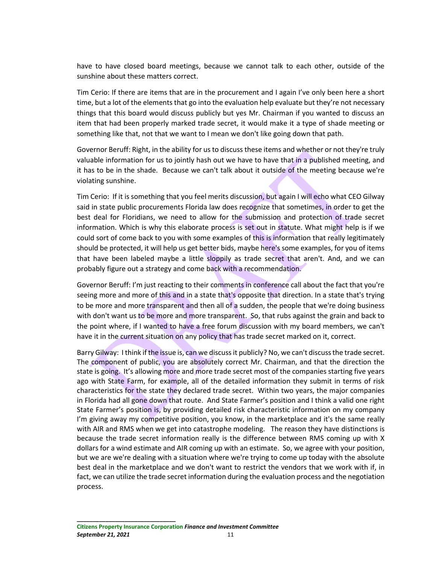have to have closed board meetings, because we cannot talk to each other, outside of the sunshine about these matters correct.

Tim Cerio: If there are items that are in the procurement and I again I've only been here a short time, but a lot of the elements that go into the evaluation help evaluate but they're not necessary things that this board would discuss publicly but yes Mr. Chairman if you wanted to discuss an item that had been properly marked trade secret, it would make it a type of shade meeting or something like that, not that we want to I mean we don't like going down that path.

Governor Beruff: Right, in the ability for us to discuss these items and whether or not they're truly valuable information for us to jointly hash out we have to have that in a published meeting, and it has to be in the shade. Because we can't talk about it outside of the meeting because we're violating sunshine.

Tim Cerio: If it is something that you feel merits discussion, but again I will echo what CEO Gilway said in state public procurements Florida law does recognize that sometimes, in order to get the best deal for Floridians, we need to allow for the submission and protection of trade secret information. Which is why this elaborate process is set out in statute. What might help is if we could sort of come back to you with some examples of this is information that really legitimately should be protected, it will help us get better bids, maybe here's some examples, for you of items that have been labeled maybe a little sloppily as trade secret that aren't. And, and we can probably figure out a strategy and come back with a recommendation.

Governor Beruff: I'm just reacting to their comments in conference call about the fact that you're seeing more and more of this and in a state that's opposite that direction. In a state that's trying to be more and more transparent and then all of a sudden, the people that we're doing business with don't want us to be more and more transparent. So, that rubs against the grain and back to the point where, if I wanted to have a free forum discussion with my board members, we can't have it in the current situation on any policy that has trade secret marked on it, correct.

Barry Gilway: I think if the issue is, can we discuss it publicly? No, we can't discussthe trade secret. The component of public, you are absolutely correct Mr. Chairman, and that the direction the state is going. It's allowing more and more trade secret most of the companies starting five years ago with State Farm, for example, all of the detailed information they submit in terms of risk characteristics for the state they declared trade secret. Within two years, the major companies in Florida had all gone down that route. And State Farmer's position and I think a valid one right State Farmer's position is, by providing detailed risk characteristic information on my company I'm giving away my competitive position, you know, in the marketplace and it's the same really with AIR and RMS when we get into catastrophe modeling. The reason they have distinctions is because the trade secret information really is the difference between RMS coming up with X dollars for a wind estimate and AIR coming up with an estimate. So, we agree with your position, but we are we're dealing with a situation where we're trying to come up today with the absolute best deal in the marketplace and we don't want to restrict the vendors that we work with if, in fact, we can utilize the trade secret information during the evaluation process and the negotiation process.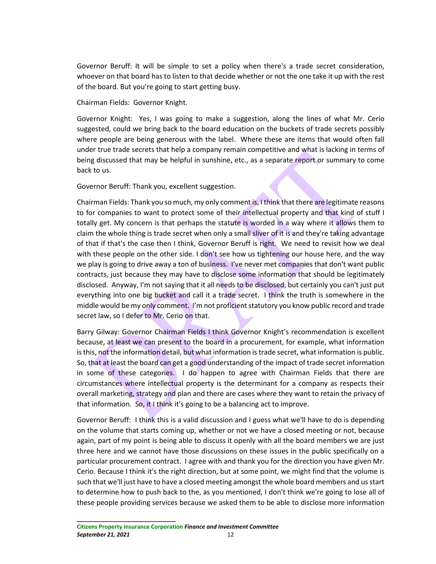Governor Beruff: It will be simple to set a policy when there's a trade secret consideration, whoever on that board has to listen to that decide whether or not the one take it up with the rest of the board. But you're going to start getting busy.

Chairman Fields: Governor Knight.

Governor Knight: Yes, I was going to make a suggestion, along the lines of what Mr. Cerio suggested, could we bring back to the board education on the buckets of trade secrets possibly where people are being generous with the label. Where these are items that would often fall under true trade secrets that help a company remain competitive and what is lacking in terms of being discussed that may be helpful in sunshine, etc., as a separate report or summary to come back to us.

Governor Beruff: Thank you, excellent suggestion.

Chairman Fields: Thank you so much, my only comment is, I think that there are legitimate reasons to for companies to want to protect some of their intellectual property and that kind of stuff I totally get. My concern is that perhaps the statute is worded in a way where it allows them to claim the whole thing is trade secret when only a small sliver of it is and they're taking advantage of that if that's the case then I think, Governor Beruff is right. We need to revisit how we deal with these people on the other side. I don't see how us tightening our house here, and the way we play is going to drive away a ton of business. I've never met companies that don't want public contracts, just because they may have to disclose some information that should be legitimately disclosed. Anyway, I'm not saying that it all needs to be disclosed, but certainly you can't just put everything into one big bucket and call it a trade secret. I think the truth is somewhere in the middle would be my only comment. I'm not proficient statutory you know public record and trade secret law, so I defer to Mr. Cerio on that.

Barry Gilway: Governor Chairman Fields I think Governor Knight's recommendation is excellent because, at least we can present to the board in a procurement, for example, what information is this, not the information detail, but what information is trade secret, what information is public. So, that at least the board can get a good understanding of the impact of trade secret information in some of these categories. I do happen to agree with Chairman Fields that there are circumstances where intellectual property is the determinant for a company as respects their overall marketing, strategy and plan and there are cases where they want to retain the privacy of that information. So, it I think it's going to be a balancing act to improve.

Governor Beruff: I think this is a valid discussion and I guess what we'll have to do is depending on the volume that starts coming up, whether or not we have a closed meeting or not, because again, part of my point is being able to discuss it openly with all the board members we are just three here and we cannot have those discussions on these issues in the public specifically on a particular procurement contract. I agree with and thank you for the direction you have given Mr. Cerio. Because I think it's the right direction, but at some point, we might find that the volume is such that we'll just have to have a closed meeting amongst the whole board members and us start to determine how to push back to the, as you mentioned, I don't think we're going to lose all of these people providing services because we asked them to be able to disclose more information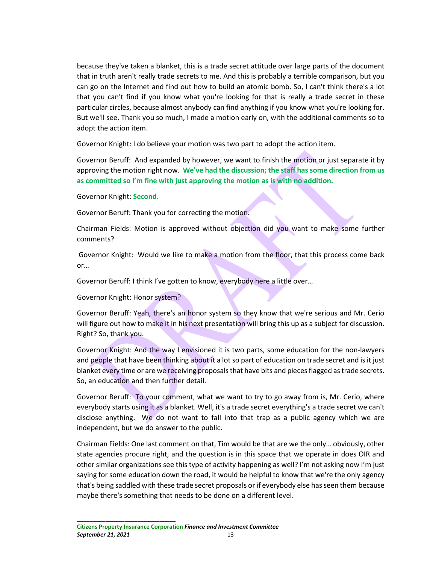because they've taken a blanket, this is a trade secret attitude over large parts of the document that in truth aren't really trade secrets to me. And this is probably a terrible comparison, but you can go on the Internet and find out how to build an atomic bomb. So, I can't think there's a lot that you can't find if you know what you're looking for that is really a trade secret in these particular circles, because almost anybody can find anything if you know what you're looking for. But we'll see. Thank you so much, I made a motion early on, with the additional comments so to adopt the action item.

Governor Knight: I do believe your motion was two part to adopt the action item.

Governor Beruff: And expanded by however, we want to finish the motion or just separate it by approving the motion right now. **We've had the discussion; the staff has some direction from us as committed so I'm fine with just approving the motion as is with no addition.** 

Governor Knight: **Second.**

Governor Beruff: Thank you for correcting the motion.

Chairman Fields: Motion is approved without objection did you want to make some further comments?

Governor Knight: Would we like to make a motion from the floor, that this process come back or…

Governor Beruff: I think I've gotten to know, everybody here a little over…

Governor Knight: Honor system?

**\_\_\_\_\_\_\_\_\_\_\_\_\_\_\_\_\_\_\_\_\_\_\_\_\_\_\_\_\_\_\_**

Governor Beruff: Yeah, there's an honor system so they know that we're serious and Mr. Cerio will figure out how to make it in his next presentation will bring this up as a subject for discussion. Right? So, thank you.

Governor Knight: And the way I envisioned it is two parts, some education for the non-lawyers and people that have been thinking about it a lot so part of education on trade secret and is it just blanket every time or are we receiving proposals that have bits and pieces flagged as trade secrets. So, an education and then further detail.

Governor Beruff: To your comment, what we want to try to go away from is, Mr. Cerio, where everybody starts using it as a blanket. Well, it's a trade secret everything's a trade secret we can't disclose anything. We do not want to fall into that trap as a public agency which we are independent, but we do answer to the public.

Chairman Fields: One last comment on that, Tim would be that are we the only… obviously, other state agencies procure right, and the question is in this space that we operate in does OIR and other similar organizations see this type of activity happening as well? I'm not asking now I'm just saying for some education down the road, it would be helpful to know that we're the only agency that's being saddled with these trade secret proposals or if everybody else has seen them because maybe there's something that needs to be done on a different level.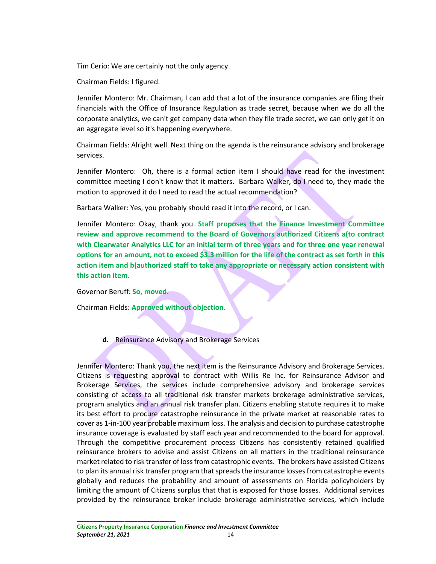Tim Cerio: We are certainly not the only agency.

Chairman Fields: I figured.

Jennifer Montero: Mr. Chairman, I can add that a lot of the insurance companies are filing their financials with the Office of Insurance Regulation as trade secret, because when we do all the corporate analytics, we can't get company data when they file trade secret, we can only get it on an aggregate level so it's happening everywhere.

Chairman Fields: Alright well. Next thing on the agenda is the reinsurance advisory and brokerage services.

Jennifer Montero: Oh, there is a formal action item I should have read for the investment committee meeting I don't know that it matters. Barbara Walker, do I need to, they made the motion to approved it do I need to read the actual recommendation?

Barbara Walker: Yes, you probably should read it into the record, or I can.

Jennifer Montero: Okay, thank you. **Staff proposes that the Finance Investment Committee review and approve recommend to the Board of Governors authorized Citizens a(to contract with Clearwater Analytics LLC for an initial term of three years and for three one year renewal options for an amount, not to exceed \$3.3 million for the life of the contract as set forth in this action item and b(authorized staff to take any appropriate or necessary action consistent with this action item.** 

Governor Beruff: **So, moved.**

Chairman Fields: **Approved without objection.**

**d.** Reinsurance Advisory and Brokerage Services

Jennifer Montero: Thank you, the next item is the Reinsurance Advisory and Brokerage Services. Citizens is requesting approval to contract with Willis Re Inc. for Reinsurance Advisor and Brokerage Services, the services include comprehensive advisory and brokerage services consisting of access to all traditional risk transfer markets brokerage administrative services, program analytics and an annual risk transfer plan. Citizens enabling statute requires it to make its best effort to procure catastrophe reinsurance in the private market at reasonable rates to cover as 1-in-100 year probable maximum loss. The analysis and decision to purchase catastrophe insurance coverage is evaluated by staff each year and recommended to the board for approval. Through the competitive procurement process Citizens has consistently retained qualified reinsurance brokers to advise and assist Citizens on all matters in the traditional reinsurance market related to risk transfer of loss from catastrophic events. The brokers have assisted Citizens to plan its annual risk transfer program that spreads the insurance losses from catastrophe events globally and reduces the probability and amount of assessments on Florida policyholders by limiting the amount of Citizens surplus that that is exposed for those losses. Additional services provided by the reinsurance broker include brokerage administrative services, which include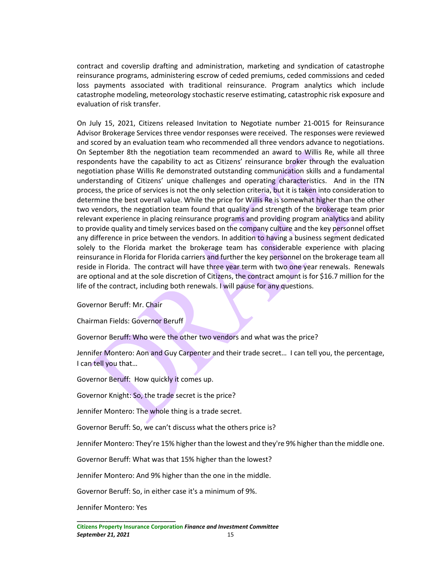contract and coverslip drafting and administration, marketing and syndication of catastrophe reinsurance programs, administering escrow of ceded premiums, ceded commissions and ceded loss payments associated with traditional reinsurance. Program analytics which include catastrophe modeling, meteorology stochastic reserve estimating, catastrophic risk exposure and evaluation of risk transfer.

On July 15, 2021, Citizens released Invitation to Negotiate number 21-0015 for Reinsurance Advisor Brokerage Services three vendor responses were received. The responses were reviewed and scored by an evaluation team who recommended all three vendors advance to negotiations. On September 8th the negotiation team recommended an award to Willis Re, while all three respondents have the capability to act as Citizens' reinsurance broker through the evaluation negotiation phase Willis Re demonstrated outstanding communication skills and a fundamental understanding of Citizens' unique challenges and operating characteristics. And in the ITN process, the price of services is not the only selection criteria, but it is taken into consideration to determine the best overall value. While the price for Willis Re is somewhat higher than the other two vendors, the negotiation team found that quality and strength of the brokerage team prior relevant experience in placing reinsurance programs and providing program analytics and ability to provide quality and timely services based on the company culture and the key personnel offset any difference in price between the vendors. In addition to having a business segment dedicated solely to the Florida market the brokerage team has considerable experience with placing reinsurance in Florida for Florida carriers and further the key personnel on the brokerage team all reside in Florida. The contract will have three year term with two one year renewals. Renewals are optional and at the sole discretion of Citizens, the contract amount is for \$16.7 million for the life of the contract, including both renewals. I will pause for any questions.

Governor Beruff: Mr. Chair

Chairman Fields: Governor Beruff

Governor Beruff: Who were the other two vendors and what was the price?

Jennifer Montero: Aon and Guy Carpenter and their trade secret… I can tell you, the percentage, I can tell you that…

Governor Beruff: How quickly it comes up.

Governor Knight: So, the trade secret is the price?

Jennifer Montero: The whole thing is a trade secret.

Governor Beruff: So, we can't discuss what the others price is?

Jennifer Montero: They're 15% higher than the lowest and they're 9% higher than the middle one.

Governor Beruff: What was that 15% higher than the lowest?

Jennifer Montero: And 9% higher than the one in the middle.

Governor Beruff: So, in either case it's a minimum of 9%.

Jennifer Montero: Yes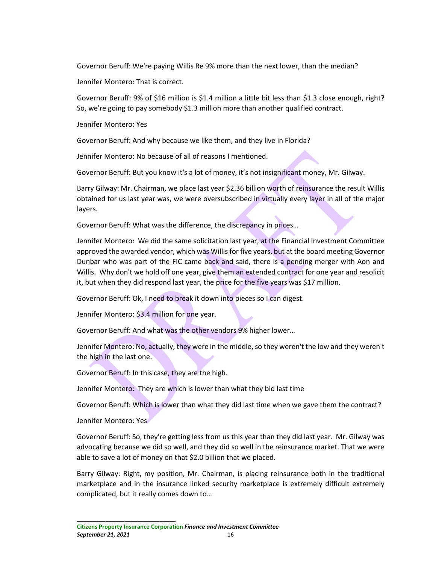Governor Beruff: We're paying Willis Re 9% more than the next lower, than the median?

Jennifer Montero: That is correct.

Governor Beruff: 9% of \$16 million is \$1.4 million a little bit less than \$1.3 close enough, right? So, we're going to pay somebody \$1.3 million more than another qualified contract.

Jennifer Montero: Yes

Governor Beruff: And why because we like them, and they live in Florida?

Jennifer Montero: No because of all of reasons I mentioned.

Governor Beruff: But you know it's a lot of money, it's not insignificant money, Mr. Gilway.

Barry Gilway: Mr. Chairman, we place last year \$2.36 billion worth of reinsurance the result Willis obtained for us last year was, we were oversubscribed in virtually every layer in all of the major layers.

Governor Beruff: What was the difference, the discrepancy in prices…

Jennifer Montero: We did the same solicitation last year, at the Financial Investment Committee approved the awarded vendor, which was Willis for five years, but at the board meeting Governor Dunbar who was part of the FIC came back and said, there is a pending merger with Aon and Willis. Why don't we hold off one year, give them an extended contract for one year and resolicit it, but when they did respond last year, the price for the five years was \$17 million.

Governor Beruff: Ok, I need to break it down into pieces so I can digest.

Jennifer Montero: \$3.4 million for one year.

Governor Beruff: And what was the other vendors 9% higher lower…

Jennifer Montero: No, actually, they were in the middle, so they weren't the low and they weren't the high in the last one.

Governor Beruff: In this case, they are the high.

Jennifer Montero: They are which is lower than what they bid last time

Governor Beruff: Which is lower than what they did last time when we gave them the contract?

Jennifer Montero: Yes

Governor Beruff: So, they're getting less from us this year than they did last year. Mr. Gilway was advocating because we did so well, and they did so well in the reinsurance market. That we were able to save a lot of money on that \$2.0 billion that we placed.

Barry Gilway: Right, my position, Mr. Chairman, is placing reinsurance both in the traditional marketplace and in the insurance linked security marketplace is extremely difficult extremely complicated, but it really comes down to…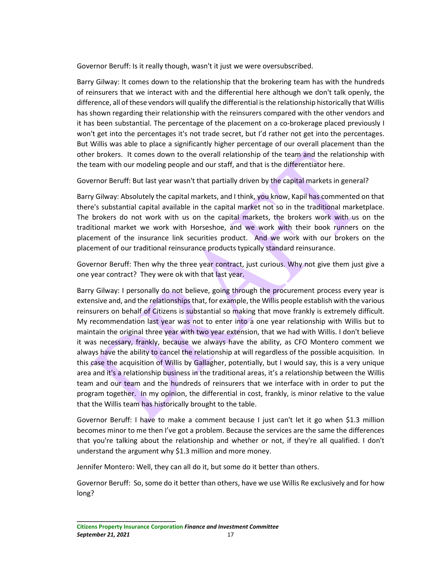Governor Beruff: Is it really though, wasn't it just we were oversubscribed.

Barry Gilway: It comes down to the relationship that the brokering team has with the hundreds of reinsurers that we interact with and the differential here although we don't talk openly, the difference, all of these vendors will qualify the differential is the relationship historically that Willis has shown regarding their relationship with the reinsurers compared with the other vendors and it has been substantial. The percentage of the placement on a co-brokerage placed previously I won't get into the percentages it's not trade secret, but I'd rather not get into the percentages. But Willis was able to place a significantly higher percentage of our overall placement than the other brokers. It comes down to the overall relationship of the team and the relationship with the team with our modeling people and our staff, and that is the differentiator here.

Governor Beruff: But last year wasn't that partially driven by the capital markets in general?

Barry Gilway: Absolutely the capital markets, and I think, you know, Kapil has commented on that there's substantial capital available in the capital market not so in the traditional marketplace. The brokers do not work with us on the capital markets, the brokers work with us on the traditional market we work with Horseshoe, and we work with their book runners on the placement of the insurance link securities product. And we work with our brokers on the placement of our traditional reinsurance products typically standard reinsurance.

Governor Beruff: Then why the three year contract, just curious. Why not give them just give a one year contract? They were ok with that last year.

Barry Gilway: I personally do not believe, going through the procurement process every year is extensive and, and the relationships that, for example, the Willis people establish with the various reinsurers on behalf of Citizens is substantial so making that move frankly is extremely difficult. My recommendation last year was not to enter into a one year relationship with Willis but to maintain the original three year with two year extension, that we had with Willis. I don't believe it was necessary, frankly, because we always have the ability, as CFO Montero comment we always have the ability to cancel the relationship at will regardless of the possible acquisition. In this case the acquisition of Willis by Gallagher, potentially, but I would say, this is a very unique area and it's a relationship business in the traditional areas, it's a relationship between the Willis team and our team and the hundreds of reinsurers that we interface with in order to put the program together. In my opinion, the differential in cost, frankly, is minor relative to the value that the Willis team has historically brought to the table.

Governor Beruff: I have to make a comment because I just can't let it go when \$1.3 million becomes minor to me then I've got a problem. Because the services are the same the differences that you're talking about the relationship and whether or not, if they're all qualified. I don't understand the argument why \$1.3 million and more money.

Jennifer Montero: Well, they can all do it, but some do it better than others.

Governor Beruff: So, some do it better than others, have we use Willis Re exclusively and for how long?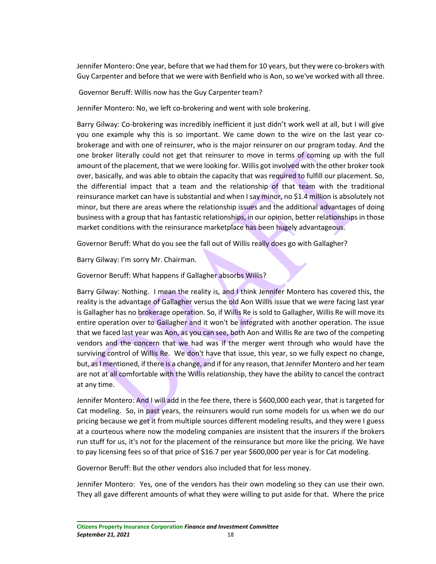Jennifer Montero: One year, before that we had them for 10 years, but they were co-brokers with Guy Carpenter and before that we were with Benfield who is Aon, so we've worked with all three.

Governor Beruff: Willis now has the Guy Carpenter team?

Jennifer Montero: No, we left co-brokering and went with sole brokering.

Barry Gilway: Co-brokering was incredibly inefficient it just didn't work well at all, but I will give you one example why this is so important. We came down to the wire on the last year cobrokerage and with one of reinsurer, who is the major reinsurer on our program today. And the one broker literally could not get that reinsurer to move in terms of coming up with the full amount of the placement, that we were looking for. Willis got involved with the other broker took over, basically, and was able to obtain the capacity that was required to fulfill our placement. So, the differential impact that a team and the relationship of that team with the traditional reinsurance market can have is substantial and when I say minor, no \$1.4 million is absolutely not minor, but there are areas where the relationship issues and the additional advantages of doing business with a group that has fantastic relationships, in our opinion, better relationships in those market conditions with the reinsurance marketplace has been hugely advantageous.

Governor Beruff: What do you see the fall out of Willis really does go with Gallagher?

Barry Gilway: I'm sorry Mr. Chairman.

Governor Beruff: What happens if Gallagher absorbs Willis?

Barry Gilway: Nothing. I mean the reality is, and I think Jennifer Montero has covered this, the reality is the advantage of Gallagher versus the old Aon Willis issue that we were facing last year is Gallagher has no brokerage operation. So, if Willis Re is sold to Gallagher, Willis Re will move its entire operation over to Gallagher and it won't be integrated with another operation. The issue that we faced last year was Aon, as you can see, both Aon and Willis Re are two of the competing vendors and the concern that we had was if the merger went through who would have the surviving control of Willis Re. We don't have that issue, this year, so we fully expect no change, but, as I mentioned, if there is a change, and if for any reason, that Jennifer Montero and her team are not at all comfortable with the Willis relationship, they have the ability to cancel the contract at any time.

Jennifer Montero: And I will add in the fee there, there is \$600,000 each year, that is targeted for Cat modeling. So, in past years, the reinsurers would run some models for us when we do our pricing because we get it from multiple sources different modeling results, and they were I guess at a courteous where now the modeling companies are insistent that the insurers if the brokers run stuff for us, it's not for the placement of the reinsurance but more like the pricing. We have to pay licensing fees so of that price of \$16.7 per year \$600,000 per year is for Cat modeling.

Governor Beruff: But the other vendors also included that for less money.

Jennifer Montero: Yes, one of the vendors has their own modeling so they can use their own. They all gave different amounts of what they were willing to put aside for that. Where the price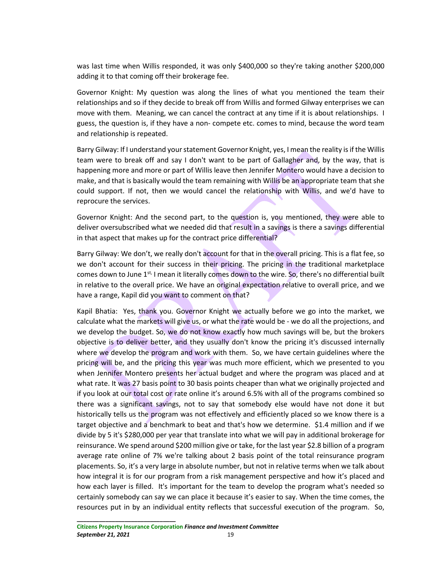was last time when Willis responded, it was only \$400,000 so they're taking another \$200,000 adding it to that coming off their brokerage fee.

Governor Knight: My question was along the lines of what you mentioned the team their relationships and so if they decide to break off from Willis and formed Gilway enterprises we can move with them. Meaning, we can cancel the contract at any time if it is about relationships. I guess, the question is, if they have a non- compete etc. comes to mind, because the word team and relationship is repeated.

Barry Gilway: If I understand your statement Governor Knight, yes, I mean the reality is if the Willis team were to break off and say I don't want to be part of Gallagher and, by the way, that is happening more and more or part of Willis leave then Jennifer Montero would have a decision to make, and that is basically would the team remaining with Willis be an appropriate team that she could support. If not, then we would cancel the relationship with Willis, and we'd have to reprocure the services.

Governor Knight: And the second part, to the question is, you mentioned, they were able to deliver oversubscribed what we needed did that result in a savings is there a savings differential in that aspect that makes up for the contract price differential?

Barry Gilway: We don't, we really don't account for that in the overall pricing. This is a flat fee, so we don't account for their success in their pricing. The pricing in the traditional marketplace comes down to June 1<sup>st,</sup> I mean it literally comes down to the wire. So, there's no differential built in relative to the overall price. We have an original expectation relative to overall price, and we have a range, Kapil did you want to comment on that?

Kapil Bhatia: Yes, thank you. Governor Knight we actually before we go into the market, we calculate what the markets will give us, or what the rate would be - we do all the projections, and we develop the budget. So, we do not know exactly how much savings will be, but the brokers objective is to deliver better, and they usually don't know the pricing it's discussed internally where we develop the program and work with them. So, we have certain guidelines where the pricing will be, and the pricing this year was much more efficient, which we presented to you when Jennifer Montero presents her actual budget and where the program was placed and at what rate. It was 27 basis point to 30 basis points cheaper than what we originally projected and if you look at our total cost or rate online it's around 6.5% with all of the programs combined so there was a significant savings, not to say that somebody else would have not done it but historically tells us the program was not effectively and efficiently placed so we know there is a target objective and a benchmark to beat and that's how we determine. \$1.4 million and if we divide by 5 it's \$280,000 per year that translate into what we will pay in additional brokerage for reinsurance. We spend around \$200 million give or take, for the last year \$2.8 billion of a program average rate online of 7% we're talking about 2 basis point of the total reinsurance program placements. So, it's a very large in absolute number, but not in relative terms when we talk about how integral it is for our program from a risk management perspective and how it's placed and how each layer is filled. It's important for the team to develop the program what's needed so certainly somebody can say we can place it because it's easier to say. When the time comes, the resources put in by an individual entity reflects that successful execution of the program. So,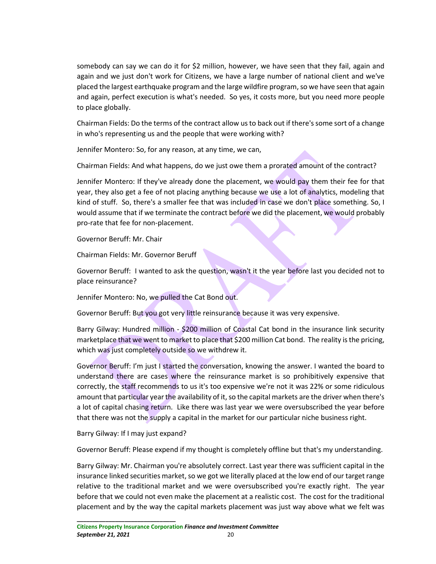somebody can say we can do it for \$2 million, however, we have seen that they fail, again and again and we just don't work for Citizens, we have a large number of national client and we've placed the largest earthquake program and the large wildfire program, so we have seen that again and again, perfect execution is what's needed. So yes, it costs more, but you need more people to place globally.

Chairman Fields: Do the terms of the contract allow us to back out if there's some sort of a change in who's representing us and the people that were working with?

Jennifer Montero: So, for any reason, at any time, we can,

Chairman Fields: And what happens, do we just owe them a prorated amount of the contract?

Jennifer Montero: If they've already done the placement, we would pay them their fee for that year, they also get a fee of not placing anything because we use a lot of analytics, modeling that kind of stuff. So, there's a smaller fee that was included in case we don't place something. So, I would assume that if we terminate the contract before we did the placement, we would probably pro-rate that fee for non-placement.

Governor Beruff: Mr. Chair

Chairman Fields: Mr. Governor Beruff

Governor Beruff: I wanted to ask the question, wasn't it the year before last you decided not to place reinsurance?

Jennifer Montero: No, we pulled the Cat Bond out.

Governor Beruff: But you got very little reinsurance because it was very expensive.

Barry Gilway: Hundred million - \$200 million of Coastal Cat bond in the insurance link security marketplace that we went to market to place that \$200 million Cat bond. The reality is the pricing, which was just completely outside so we withdrew it.

Governor Beruff: I'm just I started the conversation, knowing the answer. I wanted the board to understand there are cases where the reinsurance market is so prohibitively expensive that correctly, the staff recommends to us it's too expensive we're not it was 22% or some ridiculous amount that particular year the availability of it, so the capital markets are the driver when there's a lot of capital chasing return. Like there was last year we were oversubscribed the year before that there was not the supply a capital in the market for our particular niche business right.

Barry Gilway: If I may just expand?

**\_\_\_\_\_\_\_\_\_\_\_\_\_\_\_\_\_\_\_\_\_\_\_\_\_\_\_\_\_\_\_**

Governor Beruff: Please expend if my thought is completely offline but that's my understanding.

Barry Gilway: Mr. Chairman you're absolutely correct. Last year there was sufficient capital in the insurance linked securities market, so we got we literally placed at the low end of our target range relative to the traditional market and we were oversubscribed you're exactly right. The year before that we could not even make the placement at a realistic cost. The cost for the traditional placement and by the way the capital markets placement was just way above what we felt was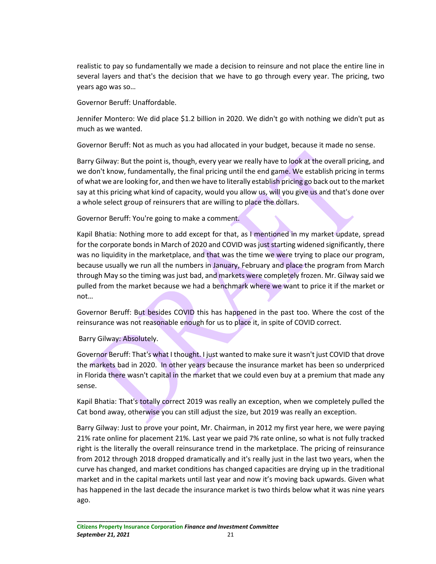realistic to pay so fundamentally we made a decision to reinsure and not place the entire line in several layers and that's the decision that we have to go through every year. The pricing, two years ago was so…

Governor Beruff: Unaffordable.

Jennifer Montero: We did place \$1.2 billion in 2020. We didn't go with nothing we didn't put as much as we wanted.

Governor Beruff: Not as much as you had allocated in your budget, because it made no sense.

Barry Gilway: But the point is, though, every year we really have to look at the overall pricing, and we don't know, fundamentally, the final pricing until the end game. We establish pricing in terms of what we are looking for, and then we have to literally establish pricing go back out to the market say at this pricing what kind of capacity, would you allow us, will you give us and that's done over a whole select group of reinsurers that are willing to place the dollars.

Governor Beruff: You're going to make a comment.

Kapil Bhatia: Nothing more to add except for that, as I mentioned in my market update, spread for the corporate bonds in March of 2020 and COVID was just starting widened significantly, there was no liquidity in the marketplace, and that was the time we were trying to place our program, because usually we run all the numbers in January, February and place the program from March through May so the timing was just bad, and markets were completely frozen. Mr. Gilway said we pulled from the market because we had a benchmark where we want to price it if the market or not…

Governor Beruff: But besides COVID this has happened in the past too. Where the cost of the reinsurance was not reasonable enough for us to place it, in spite of COVID correct.

Barry Gilway: Absolutely.

Governor Beruff: That's what I thought. I just wanted to make sure it wasn't just COVID that drove the markets bad in 2020. In other years because the insurance market has been so underpriced in Florida there wasn't capital in the market that we could even buy at a premium that made any sense.

Kapil Bhatia: That's totally correct 2019 was really an exception, when we completely pulled the Cat bond away, otherwise you can still adjust the size, but 2019 was really an exception.

Barry Gilway: Just to prove your point, Mr. Chairman, in 2012 my first year here, we were paying 21% rate online for placement 21%. Last year we paid 7% rate online, so what is not fully tracked right is the literally the overall reinsurance trend in the marketplace. The pricing of reinsurance from 2012 through 2018 dropped dramatically and it's really just in the last two years, when the curve has changed, and market conditions has changed capacities are drying up in the traditional market and in the capital markets until last year and now it's moving back upwards. Given what has happened in the last decade the insurance market is two thirds below what it was nine years ago.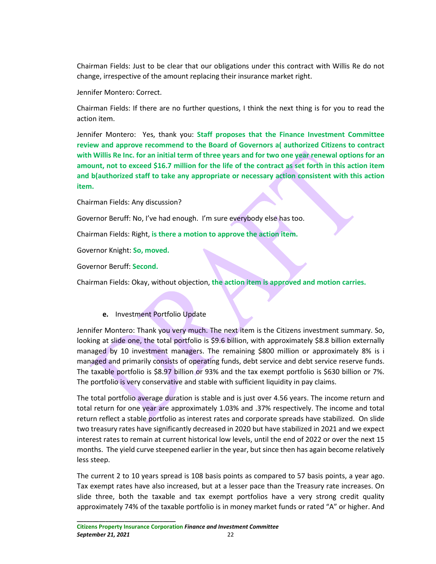Chairman Fields: Just to be clear that our obligations under this contract with Willis Re do not change, irrespective of the amount replacing their insurance market right.

Jennifer Montero: Correct.

Chairman Fields: If there are no further questions, I think the next thing is for you to read the action item.

Jennifer Montero: Yes, thank you: **Staff proposes that the Finance Investment Committee review and approve recommend to the Board of Governors a( authorized Citizens to contract with Willis Re Inc. for an initial term of three years and for two one year renewal options for an amount, not to exceed \$16.7 million for the life of the contract as set forth in this action item and b(authorized staff to take any appropriate or necessary action consistent with this action item.**

Chairman Fields: Any discussion?

Governor Beruff: No, I've had enough. I'm sure everybody else has too.

Chairman Fields: Right, **is there a motion to approve the action item.**

Governor Knight: **So, moved.**

Governor Beruff: **Second.**

Chairman Fields: Okay, without objection, **the action item is approved and motion carries.**

# **e.** Investment Portfolio Update

Jennifer Montero: Thank you very much. The next item is the Citizens investment summary. So, looking at slide one, the total portfolio is \$9.6 billion, with approximately \$8.8 billion externally managed by 10 investment managers. The remaining \$800 million or approximately 8% is i managed and primarily consists of operating funds, debt service and debt service reserve funds. The taxable portfolio is \$8.97 billion or 93% and the tax exempt portfolio is \$630 billion or 7%. The portfolio is very conservative and stable with sufficient liquidity in pay claims.

The total portfolio average duration is stable and is just over 4.56 years. The income return and total return for one year are approximately 1.03% and .37% respectively. The income and total return reflect a stable portfolio as interest rates and corporate spreads have stabilized. On slide two treasury rates have significantly decreased in 2020 but have stabilized in 2021 and we expect interest rates to remain at current historical low levels, until the end of 2022 or over the next 15 months. The yield curve steepened earlier in the year, but since then has again become relatively less steep.

The current 2 to 10 years spread is 108 basis points as compared to 57 basis points, a year ago. Tax exempt rates have also increased, but at a lesser pace than the Treasury rate increases. On slide three, both the taxable and tax exempt portfolios have a very strong credit quality approximately 74% of the taxable portfolio is in money market funds or rated "A" or higher. And